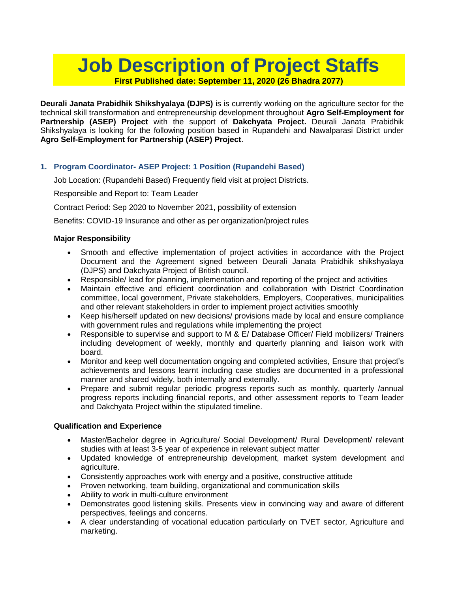# **Job Description of Project Staffs First Published date: September 11, 2020 (26 Bhadra 2077)**

**Deurali Janata Prabidhik Shikshyalaya (DJPS)** is is currently working on the agriculture sector for the technical skill transformation and entrepreneurship development throughout **Agro Self-Employment for Partnership (ASEP) Project** with the support of **Dakchyata Project.** Deurali Janata Prabidhik Shikshyalaya is looking for the following position based in Rupandehi and Nawalparasi District under **Agro Self-Employment for Partnership (ASEP) Project**.

## **1. Program Coordinator- ASEP Project: 1 Position (Rupandehi Based)**

Job Location: (Rupandehi Based) Frequently field visit at project Districts.

## Responsible and Report to: Team Leader

Contract Period: Sep 2020 to November 2021, possibility of extension

Benefits: COVID-19 Insurance and other as per organization/project rules

## **Major Responsibility**

- Smooth and effective implementation of project activities in accordance with the Project Document and the Agreement signed between Deurali Janata Prabidhik shikshyalaya (DJPS) and Dakchyata Project of British council.
- Responsible/ lead for planning, implementation and reporting of the project and activities
- Maintain effective and efficient coordination and collaboration with District Coordination committee, local government, Private stakeholders, Employers, Cooperatives, municipalities and other relevant stakeholders in order to implement project activities smoothly
- Keep his/herself updated on new decisions/ provisions made by local and ensure compliance with government rules and regulations while implementing the project
- Responsible to supervise and support to M & E/ Database Officer/ Field mobilizers/ Trainers including development of weekly, monthly and quarterly planning and liaison work with board.
- Monitor and keep well documentation ongoing and completed activities, Ensure that project's achievements and lessons learnt including case studies are documented in a professional manner and shared widely, both internally and externally.
- Prepare and submit regular periodic progress reports such as monthly, quarterly /annual progress reports including financial reports, and other assessment reports to Team leader and Dakchyata Project within the stipulated timeline.

#### **Qualification and Experience**

- Master/Bachelor degree in Agriculture/ Social Development/ Rural Development/ relevant studies with at least 3-5 year of experience in relevant subject matter
- Updated knowledge of entrepreneurship development, market system development and agriculture.
- Consistently approaches work with energy and a positive, constructive attitude
- Proven networking, team building, organizational and communication skills
- Ability to work in multi-culture environment
- Demonstrates good listening skills. Presents view in convincing way and aware of different perspectives, feelings and concerns.
- A clear understanding of vocational education particularly on TVET sector, Agriculture and marketing.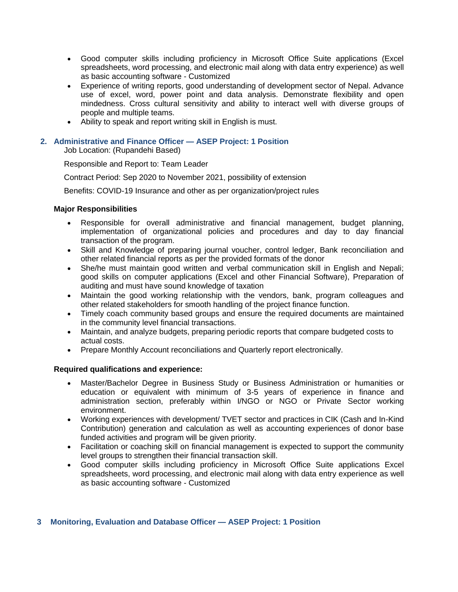- Good computer skills including proficiency in Microsoft Office Suite applications (Excel spreadsheets, word processing, and electronic mail along with data entry experience) as well as basic accounting software - Customized
- Experience of writing reports, good understanding of development sector of Nepal. Advance use of excel, word, power point and data analysis. Demonstrate flexibility and open mindedness. Cross cultural sensitivity and ability to interact well with diverse groups of people and multiple teams.
- Ability to speak and report writing skill in English is must.

#### **2. Administrative and Finance Officer — ASEP Project: 1 Position**

Job Location: (Rupandehi Based)

Responsible and Report to: Team Leader

Contract Period: Sep 2020 to November 2021, possibility of extension

Benefits: COVID-19 Insurance and other as per organization/project rules

#### **Major Responsibilities**

- Responsible for overall administrative and financial management, budget planning, implementation of organizational policies and procedures and day to day financial transaction of the program.
- Skill and Knowledge of preparing journal voucher, control ledger, Bank reconciliation and other related financial reports as per the provided formats of the donor
- She/he must maintain good written and verbal communication skill in English and Nepali; good skills on computer applications (Excel and other Financial Software), Preparation of auditing and must have sound knowledge of taxation
- Maintain the good working relationship with the vendors, bank, program colleagues and other related stakeholders for smooth handling of the project finance function.
- Timely coach community based groups and ensure the required documents are maintained in the community level financial transactions.
- Maintain, and analyze budgets, preparing periodic reports that compare budgeted costs to actual costs.
- Prepare Monthly Account reconciliations and Quarterly report electronically.

#### **Required qualifications and experience:**

- Master/Bachelor Degree in Business Study or Business Administration or humanities or education or equivalent with minimum of 3-5 years of experience in finance and administration section, preferably within I/NGO or NGO or Private Sector working environment.
- Working experiences with development/ TVET sector and practices in CIK (Cash and In-Kind Contribution) generation and calculation as well as accounting experiences of donor base funded activities and program will be given priority.
- Facilitation or coaching skill on financial management is expected to support the community level groups to strengthen their financial transaction skill.
- Good computer skills including proficiency in Microsoft Office Suite applications Excel spreadsheets, word processing, and electronic mail along with data entry experience as well as basic accounting software - Customized

#### **3 Monitoring, Evaluation and Database Officer — ASEP Project: 1 Position**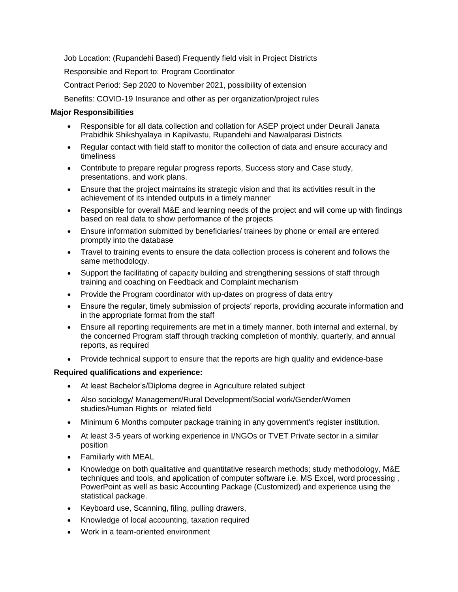Job Location: (Rupandehi Based) Frequently field visit in Project Districts

Responsible and Report to: Program Coordinator

Contract Period: Sep 2020 to November 2021, possibility of extension

Benefits: COVID-19 Insurance and other as per organization/project rules

#### **Major Responsibilities**

- Responsible for all data collection and collation for ASEP project under Deurali Janata Prabidhik Shikshyalaya in Kapilvastu, Rupandehi and Nawalparasi Districts
- Regular contact with field staff to monitor the collection of data and ensure accuracy and timeliness
- Contribute to prepare regular progress reports, Success story and Case study, presentations, and work plans.
- Ensure that the project maintains its strategic vision and that its activities result in the achievement of its intended outputs in a timely manner
- Responsible for overall M&E and learning needs of the project and will come up with findings based on real data to show performance of the projects
- Ensure information submitted by beneficiaries/ trainees by phone or email are entered promptly into the database
- Travel to training events to ensure the data collection process is coherent and follows the same methodology.
- Support the facilitating of capacity building and strengthening sessions of staff through training and coaching on Feedback and Complaint mechanism
- Provide the Program coordinator with up-dates on progress of data entry
- Ensure the regular, timely submission of projects' reports, providing accurate information and in the appropriate format from the staff
- Ensure all reporting requirements are met in a timely manner, both internal and external, by the concerned Program staff through tracking completion of monthly, quarterly, and annual reports, as required
- Provide technical support to ensure that the reports are high quality and evidence-base

#### **Required qualifications and experience:**

- At least Bachelor's/Diploma degree in Agriculture related subject
- Also sociology/ Management/Rural Development/Social work/Gender/Women studies/Human Rights or related field
- Minimum 6 Months computer package training in any government's register institution.
- At least 3-5 years of working experience in I/NGOs or TVET Private sector in a similar position
- Familiarly with MEAL
- Knowledge on both qualitative and quantitative research methods; study methodology, M&E techniques and tools, and application of computer software i.e. MS Excel, word processing , PowerPoint as well as basic Accounting Package (Customized) and experience using the statistical package.
- Keyboard use, Scanning, filing, pulling drawers,
- Knowledge of local accounting, taxation required
- Work in a team-oriented environment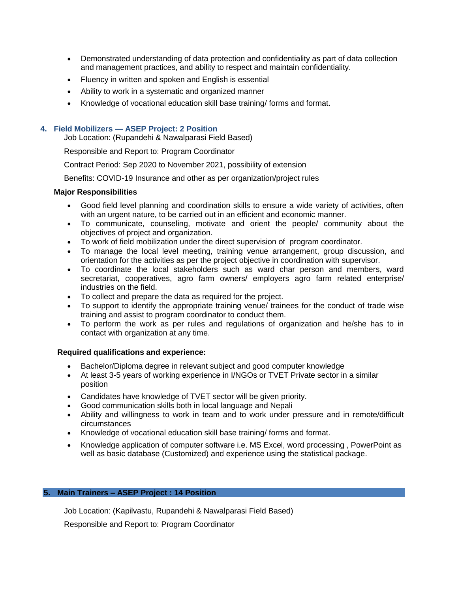- Demonstrated understanding of data protection and confidentiality as part of data collection and management practices, and ability to respect and maintain confidentiality.
- Fluency in written and spoken and English is essential
- Ability to work in a systematic and organized manner
- Knowledge of vocational education skill base training/ forms and format.

#### **4. Field Mobilizers — ASEP Project: 2 Position**

Job Location: (Rupandehi & Nawalparasi Field Based)

Responsible and Report to: Program Coordinator

Contract Period: Sep 2020 to November 2021, possibility of extension

Benefits: COVID-19 Insurance and other as per organization/project rules

#### **Major Responsibilities**

- Good field level planning and coordination skills to ensure a wide variety of activities, often with an urgent nature, to be carried out in an efficient and economic manner.
- To communicate, counseling, motivate and orient the people/ community about the objectives of project and organization.
- To work of field mobilization under the direct supervision of program coordinator.
- To manage the local level meeting, training venue arrangement, group discussion, and orientation for the activities as per the project objective in coordination with supervisor.
- To coordinate the local stakeholders such as ward char person and members, ward secretariat, cooperatives, agro farm owners/ employers agro farm related enterprise/ industries on the field.
- To collect and prepare the data as required for the project.
- To support to identify the appropriate training venue/ trainees for the conduct of trade wise training and assist to program coordinator to conduct them.
- To perform the work as per rules and regulations of organization and he/she has to in contact with organization at any time.

#### **Required qualifications and experience:**

- Bachelor/Diploma degree in relevant subject and good computer knowledge
- At least 3-5 years of working experience in I/NGOs or TVET Private sector in a similar position
- Candidates have knowledge of TVET sector will be given priority.
- Good communication skills both in local language and Nepali
- Ability and willingness to work in team and to work under pressure and in remote/difficult circumstances
- Knowledge of vocational education skill base training/ forms and format.
- Knowledge application of computer software i.e. MS Excel, word processing, PowerPoint as well as basic database (Customized) and experience using the statistical package.

#### **5. Main Trainers – ASEP Project : 14 Position**

Job Location: (Kapilvastu, Rupandehi & Nawalparasi Field Based)

Responsible and Report to: Program Coordinator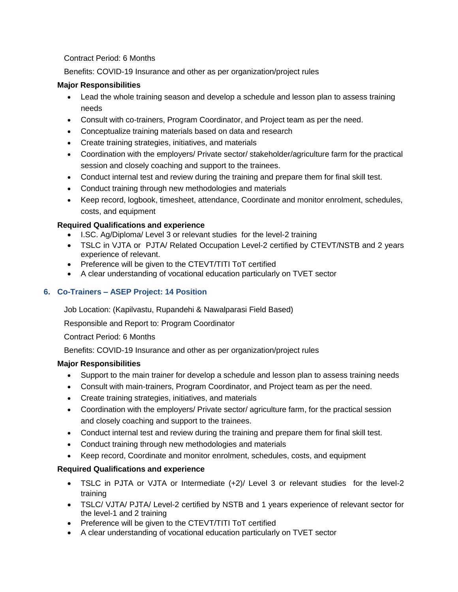## Contract Period: 6 Months

Benefits: COVID-19 Insurance and other as per organization/project rules

## **Major Responsibilities**

- Lead the whole training season and develop a schedule and lesson plan to assess training needs
- Consult with co-trainers, Program Coordinator, and Project team as per the need.
- Conceptualize training materials based on data and research
- Create training strategies, initiatives, and materials
- Coordination with the employers/ Private sector/ stakeholder/agriculture farm for the practical session and closely coaching and support to the trainees.
- Conduct internal test and review during the training and prepare them for final skill test.
- Conduct training through new methodologies and materials
- Keep record, logbook, timesheet, attendance, Coordinate and monitor enrolment, schedules, costs, and equipment

# **Required Qualifications and experience**

- I.SC. Ag/Diploma/ Level 3 or relevant studies for the level-2 training
- TSLC in VJTA or PJTA/ Related Occupation Level-2 certified by CTEVT/NSTB and 2 years experience of relevant.
- Preference will be given to the CTEVT/TITI ToT certified
- A clear understanding of vocational education particularly on TVET sector

# **6. Co-Trainers – ASEP Project: 14 Position**

Job Location: (Kapilvastu, Rupandehi & Nawalparasi Field Based)

Responsible and Report to: Program Coordinator

Contract Period: 6 Months

Benefits: COVID-19 Insurance and other as per organization/project rules

# **Major Responsibilities**

- Support to the main trainer for develop a schedule and lesson plan to assess training needs
- Consult with main-trainers, Program Coordinator, and Project team as per the need.
- Create training strategies, initiatives, and materials
- Coordination with the employers/ Private sector/ agriculture farm, for the practical session and closely coaching and support to the trainees.
- Conduct internal test and review during the training and prepare them for final skill test.
- Conduct training through new methodologies and materials
- Keep record, Coordinate and monitor enrolment, schedules, costs, and equipment

# **Required Qualifications and experience**

- TSLC in PJTA or VJTA or Intermediate (+2)/ Level 3 or relevant studies for the level-2 training
- TSLC/ VJTA/ PJTA/ Level-2 certified by NSTB and 1 years experience of relevant sector for the level-1 and 2 training
- Preference will be given to the CTEVT/TITI ToT certified
- A clear understanding of vocational education particularly on TVET sector